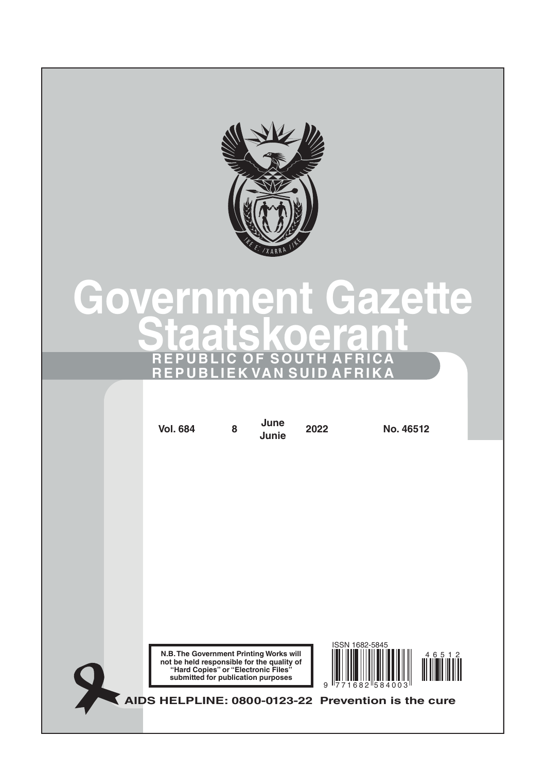

# **Government Gazette Staatskoerant REPUBLIC OF SOUTH AFRICA REPUBLIEK VAN SUID AFRIKA**

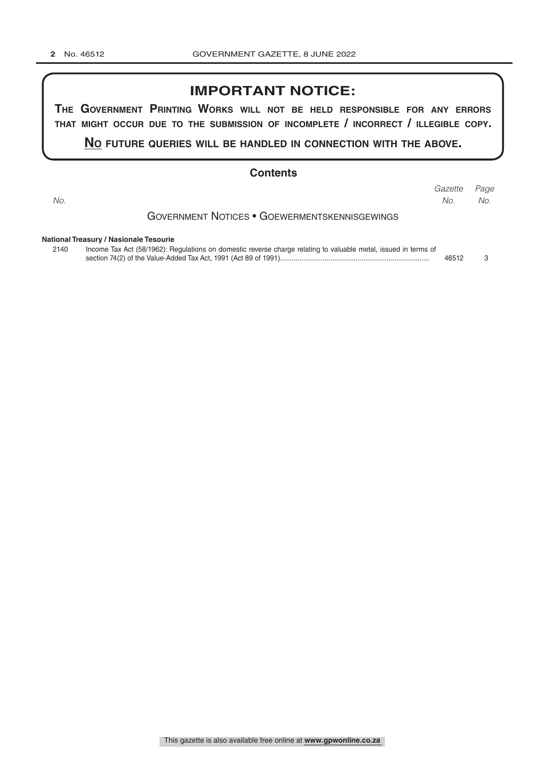## **IMPORTANT NOTICE:**

**The GovernmenT PrinTinG Works Will noT be held resPonsible for any errors ThaT miGhT occur due To The submission of incomPleTe / incorrecT / illeGible coPy.**

#### **no fuTure queries Will be handled in connecTion WiTh The above.**

#### **Contents**

| No.  |                                                                                                                 | Gazette<br>No. | Page<br>No. |
|------|-----------------------------------------------------------------------------------------------------------------|----------------|-------------|
|      | <b>GOVERNMENT NOTICES • GOEWERMENTSKENNISGEWINGS</b>                                                            |                |             |
|      | National Treasury / Nasionale Tesourie                                                                          |                |             |
| 2140 | Income Tax Act (58/1962): Regulations on domestic reverse charge relating to valuable metal, issued in terms of | 46512          |             |

This gazette is also available free online at **www.gpwonline.co.za**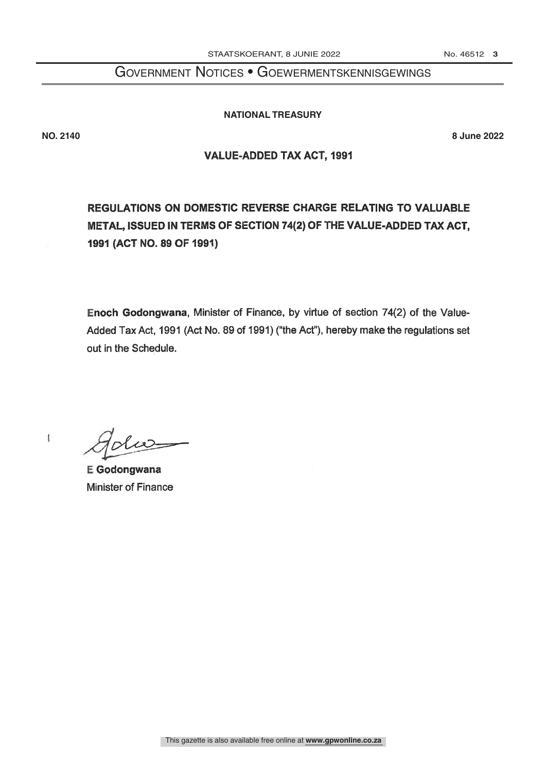# Government Notices • Goewermentskennisgewings

#### **NATIONAL TREASURY**

 $\mathfrak l$ 

**NO. 2140 8 June 2022**

## **VALUE-ADDED TAX ACT, 1991**

# REGULATIONS ON DOMESTIC REVERSE CHARGE RELATING TO VALUABLE METAL, ISSUED IN TERMS OF SECTION 74(2) OF THE VALUE-ADDED TAX ACT, 1991 (ACT NO. 89 OF 1991)

Enoch Godongwana, Minister of Finance, by virtue of section 74(2) of the Value-Added Tax Act, 1991 (Act No. 89 of 1991) ("the Act"), hereby make the regulations set out in the Schedule.

due

E Godongwana **Minister of Finance**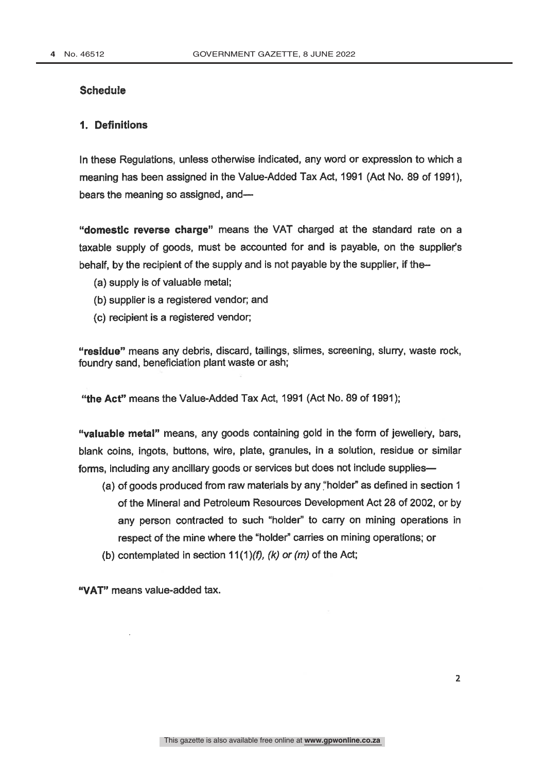#### **Schedule**

#### 1. Definitions

In these Regulations, unless otherwise indicated, any word or expression to which a meaning has been assigned in the Value-Added Tax Act, 1991 (Act No. 89 of 1991). bears the meaning so assigned, and-

"domestic reverse charge" means the VAT charged at the standard rate on a taxable supply of goods, must be accounted for and is payable, on the supplier's behalf, by the recipient of the supply and is not payable by the supplier, if the-

- (a) supply is of valuable metal;
- (b) supplier is a registered vendor; and
- (c) recipient is a registered vendor;

"residue" means any debris, discard, tailings, slimes, screening, slurry, waste rock, foundry sand, beneficiation plant waste or ash;

"the Act" means the Value-Added Tax Act, 1991 (Act No. 89 of 1991);

"valuable metal" means, any goods containing gold in the form of jewellery, bars, blank coins, ingots, buttons, wire, plate, granules, in a solution, residue or similar forms, including any ancillary goods or services but does not include supplies—

- (a) of goods produced from raw materials by any "holder" as defined in section 1 of the Mineral and Petroleum Resources Development Act 28 of 2002, or by any person contracted to such "holder" to carry on mining operations in respect of the mine where the "holder" carries on mining operations; or
- (b) contemplated in section  $11(1)(f)$ , (k) or (m) of the Act;

"VAT" means value-added tax.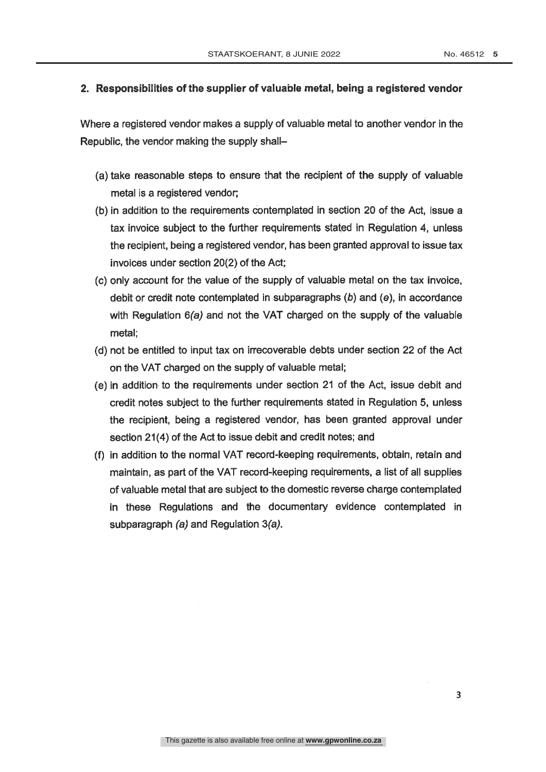#### 2. Responsibilities of the supplier of valuable metal, being a registered vendor

Where a registered vendor makes a supply of valuable metal to another vendor in the Republic, the vendor making the supply shall-

- (a) take reasonable steps to ensure that the recipient of the supply of valuable metal is a registered vendor;
- (b) in addition to the requirements contemplated in section 20 of the Act, issue a tax invoice subject to the further requirements stated in Regulation 4, unless the recipient, being a registered vendor, has been granted approval to issue tax invoices under section 20(2) of the Act;
- (c) only account for the value of the supply of valuable metal on the tax invoice, debit or credit note contemplated in subparagraphs  $(b)$  and  $(e)$ , in accordance with Regulation 6(a) and not the VAT charged on the supply of the valuable metal;
- (d) not be entitled to input tax on irrecoverable debts under section 22 of the Act on the VAT charged on the supply of valuable metal;
- (e) in addition to the requirements under section 21 of the Act, issue debit and credit notes subject to the further requirements stated in Regulation 5, unless the recipient, being a registered vendor, has been granted approval under section 21(4) of the Act to issue debit and credit notes; and
- (f) in addition to the normal VAT record-keeping requirements, obtain, retain and maintain, as part of the VAT record-keeping requirements, a list of all supplies of valuable metal that are subject to the domestic reverse charge contemplated in these Regulations and the documentary evidence contemplated in subparagraph  $(a)$  and Regulation  $3(a)$ .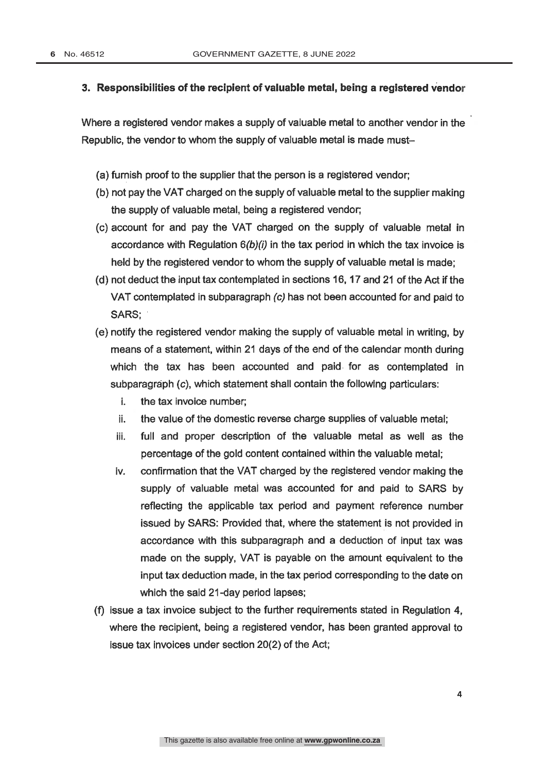#### 3. Responsibilities of the recipient of valuable metal, being a registered vendor

Where a registered vendor makes a supply of valuable metal to another vendor in the Republic, the vendor to whom the supply of valuable metal is made must-

- (a) furnish proof to the supplier that the person is a registered vendor;
- (b) not pay the VAT charged on the supply of valuable metal to the supplier making the supply of valuable metal, being a registered vendor;
- (c) account for and pay the VAT charged on the supply of valuable metal in accordance with Regulation  $6(b)(i)$  in the tax period in which the tax invoice is held by the registered vendor to whom the supply of valuable metal is made;
- (d) not deduct the input tax contemplated in sections 16, 17 and 21 of the Act if the VAT contemplated in subparagraph (c) has not been accounted for and paid to SARS:
- (e) notify the registered vendor making the supply of valuable metal in writing, by means of a statement, within 21 days of the end of the calendar month during which the tax has been accounted and paid for as contemplated in subparagraph (c), which statement shall contain the following particulars:
	- i. the tax invoice number;
	- ii. the value of the domestic reverse charge supplies of valuable metal:
	- full and proper description of the valuable metal as well as the iii. percentage of the gold content contained within the valuable metal;
	- iv. confirmation that the VAT charged by the registered vendor making the supply of valuable metal was accounted for and paid to SARS by reflecting the applicable tax period and payment reference number issued by SARS: Provided that, where the statement is not provided in accordance with this subparagraph and a deduction of input tax was made on the supply. VAT is payable on the amount equivalent to the input tax deduction made, in the tax period corresponding to the date on which the said 21-day period lapses;
- (f) issue a tax invoice subject to the further requirements stated in Requiation 4. where the recipient, being a registered vendor, has been granted approval to issue tax invoices under section 20(2) of the Act;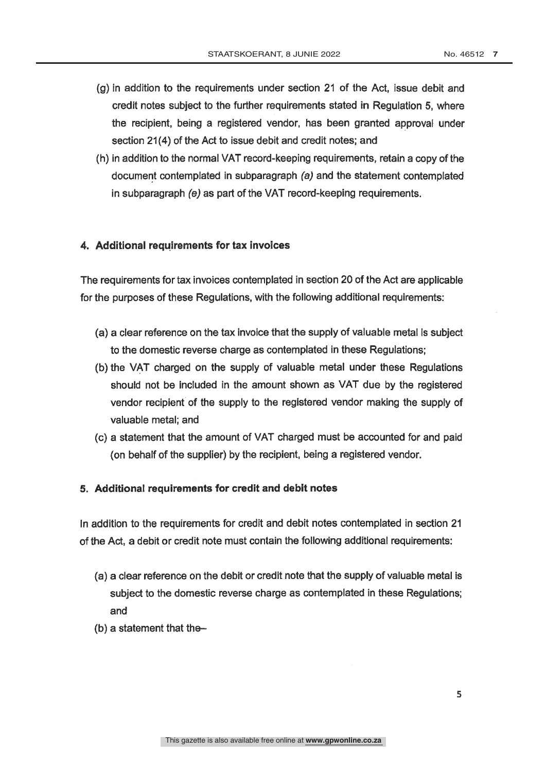- (g) in addition to the requirements under section 21 of the Act, issue debit and credit notes subject to the further requirements stated in Regulation 5, where the recipient, being a registered vendor, has been granted approval under section 21(4) of the Act to issue debit and credit notes; and
- (h) in addition to the normal VAT record-keeping requirements, retain a copy of the document contemplated in subparagraph (a) and the statement contemplated in subparagraph (e) as part of the VAT record-keeping requirements.

#### 4. Additional requirements for tax invoices

The requirements for tax invoices contemplated in section 20 of the Act are applicable for the purposes of these Regulations, with the following additional requirements:

- (a) a clear reference on the tax invoice that the supply of valuable metal is subject to the domestic reverse charge as contemplated in these Regulations;
- (b) the VAT charged on the supply of valuable metal under these Regulations should not be included in the amount shown as VAT due by the registered vendor recipient of the supply to the registered vendor making the supply of valuable metal: and
- (c) a statement that the amount of VAT charged must be accounted for and paid (on behalf of the supplier) by the recipient, being a registered vendor.

#### 5. Additional requirements for credit and debit notes

In addition to the requirements for credit and debit notes contemplated in section 21 of the Act, a debit or credit note must contain the following additional requirements:

- (a) a clear reference on the debit or credit note that the supply of valuable metal is subject to the domestic reverse charge as contemplated in these Regulations; and
- (b) a statement that the-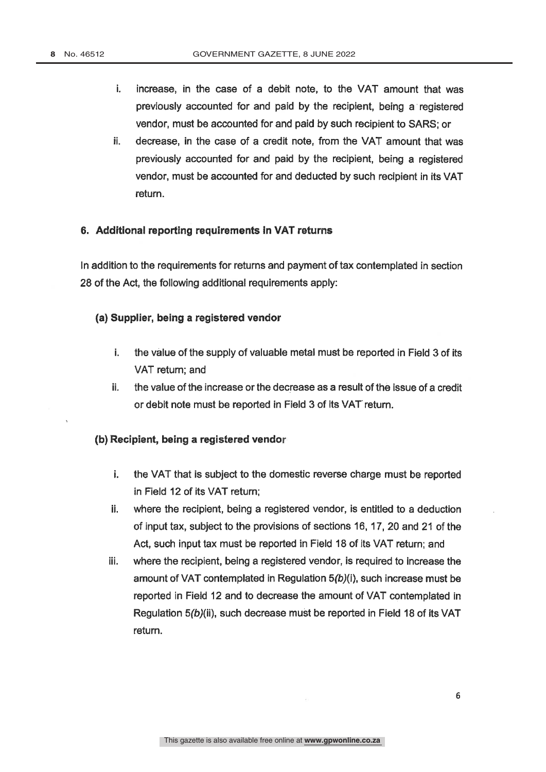- i. increase, in the case of a debit note, to the VAT amount that was previously accounted for and paid by the recipient, being a registered vendor, must be accounted for and paid by such recipient to SARS; or
- ii. decrease, in the case of a credit note, from the VAT amount that was previously accounted for and paid by the recipient, being a registered vendor, must be accounted for and deducted by such recipient in its VAT return.

#### 6. Additional reporting requirements in VAT returns

In addition to the requirements for returns and payment of tax contemplated in section 28 of the Act, the following additional requirements apply:

#### (a) Supplier, being a registered vendor

- i. the value of the supply of valuable metal must be reported in Field 3 of its VAT return; and
- the value of the increase or the decrease as a result of the issue of a credit ii. or debit note must be reported in Field 3 of its VAT return.

#### (b) Recipient, being a registered vendor

- i. the VAT that is subject to the domestic reverse charge must be reported in Field 12 of its VAT return:
- ii. where the recipient, being a registered vendor, is entitled to a deduction of input tax, subject to the provisions of sections 16, 17, 20 and 21 of the Act, such input tax must be reported in Field 18 of its VAT return; and
- iii. where the recipient, being a registered vendor, is required to increase the amount of VAT contemplated in Regulation  $5(b)(i)$ , such increase must be reported in Field 12 and to decrease the amount of VAT contemplated in Regulation 5(b)(ii), such decrease must be reported in Field 18 of its VAT return.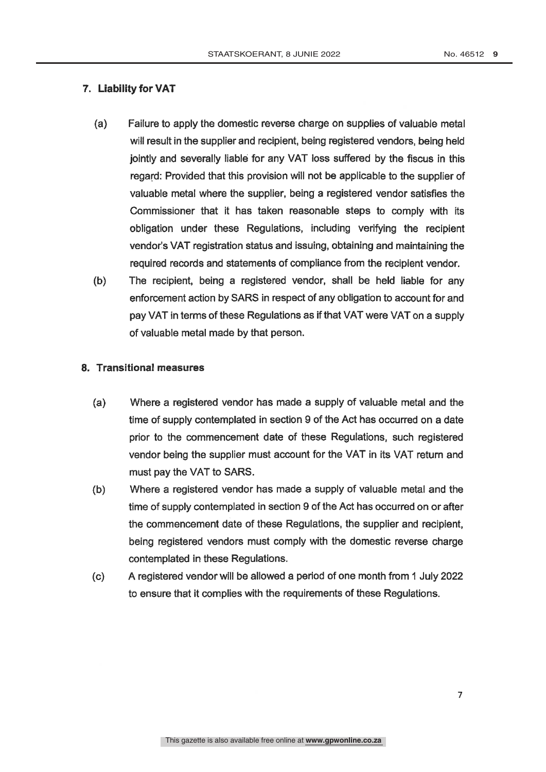#### 7. Liability for VAT

- $(a)$ Failure to apply the domestic reverse charge on supplies of valuable metal will result in the supplier and recipient, being registered vendors, being held jointly and severally liable for any VAT loss suffered by the fiscus in this regard: Provided that this provision will not be applicable to the supplier of valuable metal where the supplier, being a registered vendor satisfies the Commissioner that it has taken reasonable steps to comply with its obligation under these Regulations, including verifying the recipient vendor's VAT registration status and issuing, obtaining and maintaining the required records and statements of compliance from the recipient vendor.
- The recipient, being a registered vendor, shall be held liable for any  $(b)$ enforcement action by SARS in respect of any obligation to account for and pay VAT in terms of these Regulations as if that VAT were VAT on a supply of valuable metal made by that person.

#### 8. Transitional measures

- $(a)$ Where a registered vendor has made a supply of valuable metal and the time of supply contemplated in section 9 of the Act has occurred on a date prior to the commencement date of these Regulations, such registered vendor being the supplier must account for the VAT in its VAT return and must pay the VAT to SARS.
- $(b)$ Where a registered vendor has made a supply of valuable metal and the time of supply contemplated in section 9 of the Act has occurred on or after the commencement date of these Regulations, the supplier and recipient, being registered vendors must comply with the domestic reverse charge contemplated in these Regulations.
- A registered vendor will be allowed a period of one month from 1 July 2022  $(c)$ to ensure that it complies with the requirements of these Regulations.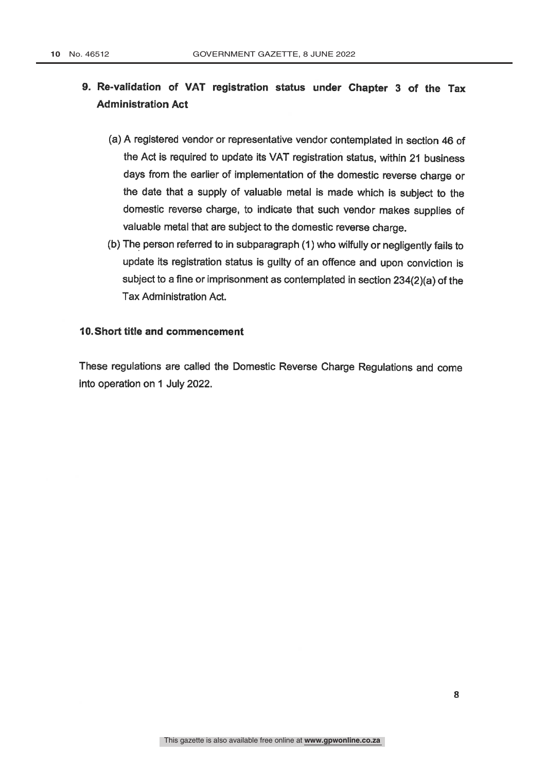## 9. Re-validation of VAT registration status under Chapter 3 of the Tax **Administration Act**

- (a) A registered vendor or representative vendor contemplated in section 46 of the Act is required to update its VAT registration status, within 21 business days from the earlier of implementation of the domestic reverse charge or the date that a supply of valuable metal is made which is subject to the domestic reverse charge, to indicate that such vendor makes supplies of valuable metal that are subject to the domestic reverse charge.
- (b) The person referred to in subparagraph (1) who wilfully or negligently fails to update its registration status is guilty of an offence and upon conviction is subject to a fine or imprisonment as contemplated in section 234(2)(a) of the **Tax Administration Act.**

### 10. Short title and commencement

These regulations are called the Domestic Reverse Charge Regulations and come into operation on 1 July 2022.